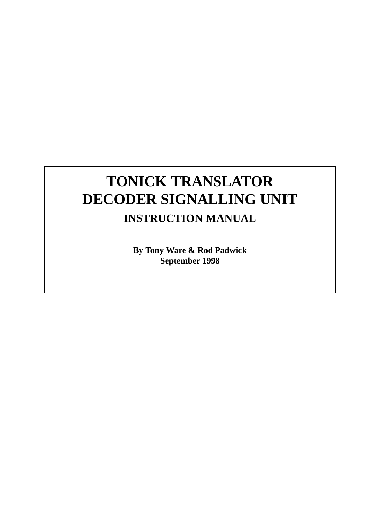# **TONICK TRANSLATOR DECODER SIGNALLING UNIT INSTRUCTION MANUAL**

**By Tony Ware & Rod Padwick September 1998**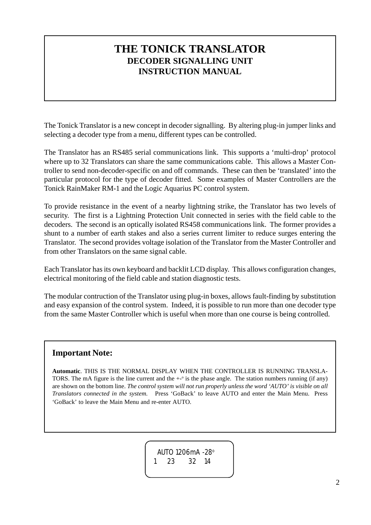### **THE TONICK TRANSLATOR DECODER SIGNALLING UNIT INSTRUCTION MANUAL**

The Tonick Translator is a new concept in decoder signalling. By altering plug-in jumper links and selecting a decoder type from a menu, different types can be controlled.

The Translator has an RS485 serial communications link. This supports a 'multi-drop' protocol where up to 32 Translators can share the same communications cable. This allows a Master Controller to send non-decoder-specific on and off commands. These can then be 'translated' into the particular protocol for the type of decoder fitted. Some examples of Master Controllers are the Tonick RainMaker RM-1 and the Logic Aquarius PC control system.

To provide resistance in the event of a nearby lightning strike, the Translator has two levels of security. The first is a Lightning Protection Unit connected in series with the field cable to the decoders. The second is an optically isolated RS458 communications link. The former provides a shunt to a number of earth stakes and also a series current limiter to reduce surges entering the Translator. The second provides voltage isolation of the Translator from the Master Controller and from other Translators on the same signal cable.

Each Translator has its own keyboard and backlit LCD display. This allows configuration changes, electrical monitoring of the field cable and station diagnostic tests.

The modular contruction of the Translator using plug-in boxes, allows fault-finding by substitution and easy expansion of the control system. Indeed, it is possible to run more than one decoder type from the same Master Controller which is useful when more than one course is being controlled.

#### **Important Note:**

**Automatic**. THIS IS THE NORMAL DISPLAY WHEN THE CONTROLLER IS RUNNING TRANSLA-TORS. The mA figure is the line current and the  $+$ - $\circ$  is the phase angle. The station numbers running (if any) are shown on the bottom line. *The control system will not run properly unless the word 'AUTO' is visible on all Translators connected in the system.* Press 'GoBack' to leave AUTO and enter the Main Menu. Press 'GoBack' to leave the Main Menu and re-enter AUTO.

> AUTO 1206mA -28o 1 23 32 14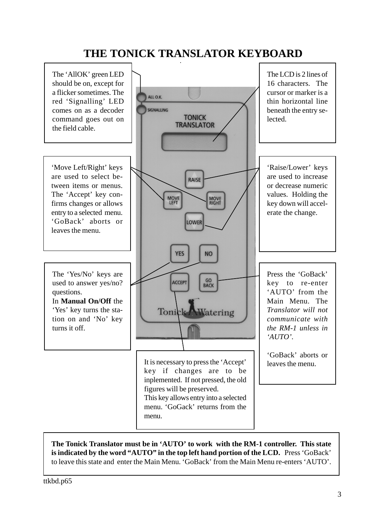# **THE TONICK TRANSLATOR KEYBOARD**



#### **The Tonick Translator must be in 'AUTO' to work with the RM-1 controller. This state is indicated by the word "AUTO" in the top left hand portion of the LCD.** Press 'GoBack' to leave this state and enter the Main Menu. 'GoBack' from the Main Menu re-enters 'AUTO'.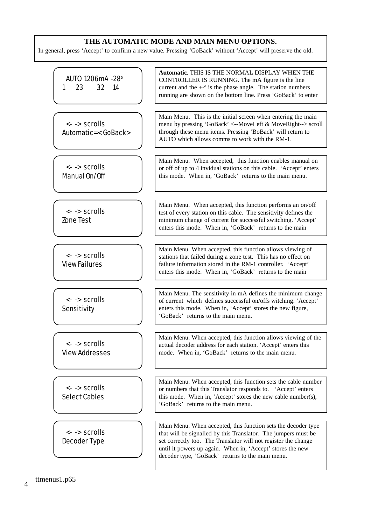#### **THE AUTOMATIC MODE AND MAIN MENU OPTIONS.**

In general, press 'Accept' to confirm a new value. Pressing 'GoBack' without 'Accept' will preserve the old.

| AUTO 1206mA -28°<br>23<br>32<br>1<br>14       | Automatic. THIS IS THE NORMAL DISPLAY WHEN THE<br>CONTROLLER IS RUNNING. The mA figure is the line<br>current and the $+-$ <sup>o</sup> is the phase angle. The station numbers<br>running are shown on the bottom line. Press 'GoBack' to enter                                                                    |
|-----------------------------------------------|---------------------------------------------------------------------------------------------------------------------------------------------------------------------------------------------------------------------------------------------------------------------------------------------------------------------|
| <- -> scrolls<br>Automatic=< GoBack>          | Main Menu. This is the initial screen when entering the main<br>menu by pressing 'GoBack' <--MoveLeft & MoveRight--> scroll<br>through these menu items. Pressing 'BoBack' will return to<br>AUTO which allows comms to work with the RM-1.                                                                         |
| <- -> scrolls<br>Manual On/Off                | Main Menu. When accepted, this function enables manual on<br>or off of up to 4 invidual stations on this cable. 'Accept' enters<br>this mode. When in, 'GoBack' returns to the main menu.                                                                                                                           |
| <- -> scrolls<br>Zone Test                    | Main Menu. When accepted, this function performs an on/off<br>test of every station on this cable. The sensitivity defines the<br>minimum change of current for successful switching. 'Accept'<br>enters this mode. When in, 'GoBack' returns to the main                                                           |
| $\leftarrow$ > scrolls<br><b>ViewFailures</b> | Main Menu. When accepted, this function allows viewing of<br>stations that failed during a zone test. This has no effect on<br>failure information stored in the RM-1 controller. 'Accept'<br>enters this mode. When in, 'GoBack' returns to the main                                                               |
| <- -> scrolls<br>Sensitivity                  | Main Menu. The sensitivity in mA defines the minimum change<br>of current which defines successful on/offs witching. 'Accept'<br>enters this mode. When in, 'Accept' stores the new figure,<br>'GoBack' returns to the main menu.                                                                                   |
| <- -> scrolls<br><b>View Addresses</b>        | Main Menu. When accepted, this function allows viewing of the<br>actual decoder address for each station. 'Accept' enters this<br>mode. When in, 'GoBack' returns to the main menu.                                                                                                                                 |
| <- -> scrolls<br><b>Select Cables</b>         | Main Menu. When accepted, this function sets the cable number<br>or numbers that this Translator responds to. 'Accept' enters<br>this mode. When in, 'Accept' stores the new cable number(s),<br>'GoBack' returns to the main menu.                                                                                 |
| <- -> scrolls<br>Decoder Type                 | Main Menu. When accepted, this function sets the decoder type<br>that will be signalled by this Translator. The jumpers must be<br>set correctly too. The Translator will not register the change<br>until it powers up again. When in, 'Accept' stores the new<br>decoder type, 'GoBack' returns to the main menu. |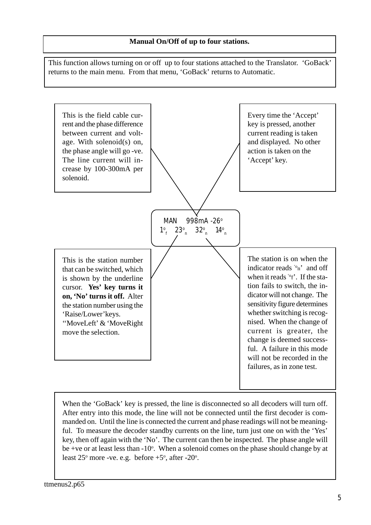#### **Manual On/Off of up to four stations.**

This function allows turning on or off up to four stations attached to the Translator. 'GoBack' returns to the main menu. From that menu, 'GoBack' returns to Automatic.



When the 'GoBack' key is pressed, the line is disconnected so all decoders will turn off. After entry into this mode, the line will not be connected until the first decoder is commanded on. Until the line is connected the current and phase readings will not be meaningful. To measure the decoder standby currents on the line, turn just one on with the 'Yes' key, then off again with the 'No'. The current can then be inspected. The phase angle will be +ve or at least less than -10°. When a solenoid comes on the phase should change by at least  $25^{\circ}$  more -ve. e.g. before  $+5^{\circ}$ , after -20 $^{\circ}$ .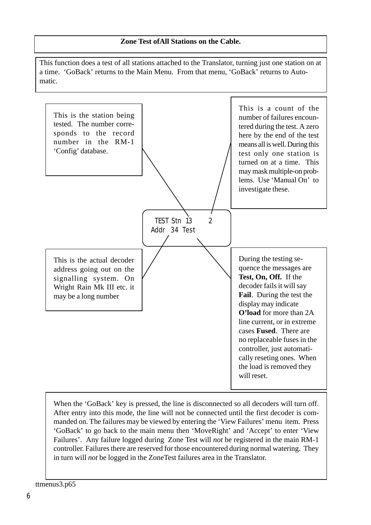#### **Zone Test ofAll Stations on the Cable.**

This function does a test of all stations attached to the Translator, turning just one station on at a time. 'GoBack' returns to the Main Menu. From that menu, 'GoBack' returns to Automatic.



When the 'GoBack' key is pressed, the line is disconnected so all decoders will turn off. After entry into this mode, the line will not be connected until the first decoder is commanded on. The failures may be viewed by entering the 'View Failures' menu item. Press 'GoBack' to go back to the main menu then 'MoveRight' and 'Accept' to enter 'View Failures'. Any failure logged during Zone Test will *not* be registered in the main RM-1 controller. Failures there are reserved for those encountered during normal watering. They in turn will *not* be logged in the ZoneTest failures area in the Translator.

ttmenus3.p65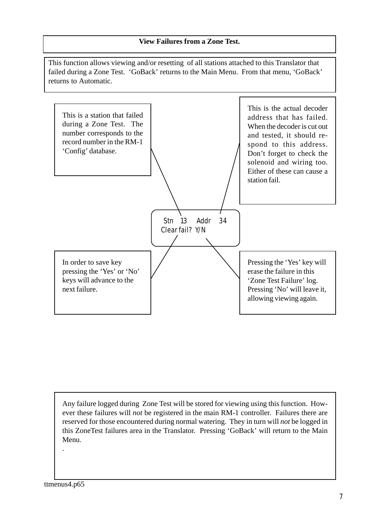#### **View Failures from a Zone Test.**

This function allows viewing and/or resetting of all stations attached to this Translator that failed during a Zone Test. 'GoBack' returns to the Main Menu. From that menu, 'GoBack' returns to Automatic.



Any failure logged during Zone Test will be stored for viewing using this function. However these failures will *not* be registered in the main RM-1 controller. Failures there are reserved for those encountered during normal watering. They in turn will *not* be logged in this ZoneTest failures area in the Translator. Pressing 'GoBack' will return to the Main Menu.

.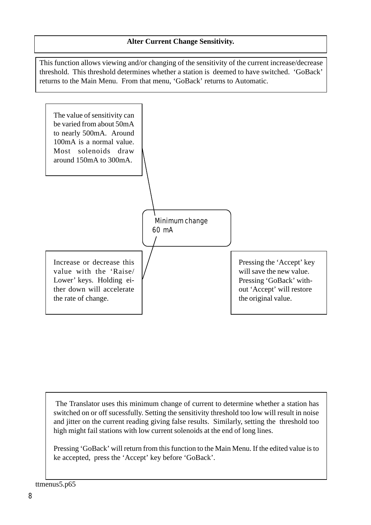This function allows viewing and/or changing of the sensitivity of the current increase/decrease threshold. This threshold determines whether a station is deemed to have switched. 'GoBack' returns to the Main Menu. From that menu, 'GoBack' returns to Automatic.



 The Translator uses this minimum change of current to determine whether a station has switched on or off sucessfully. Setting the sensitivity threshold too low will result in noise and jitter on the current reading giving false results. Similarly, setting the threshold too high might fail stations with low current solenoids at the end of long lines.

Pressing 'GoBack' will return from this function to the Main Menu. If the edited value is to ke accepted, press the 'Accept' key before 'GoBack'.

ttmenus5.p65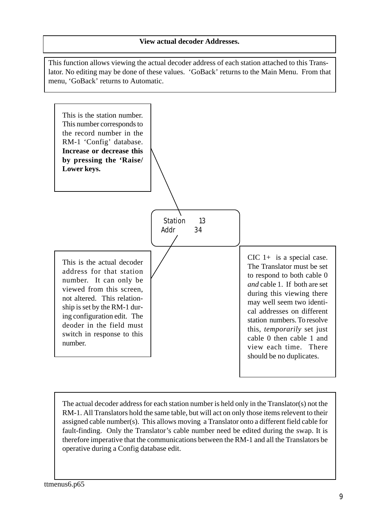#### **View actual decoder Addresses.**

This function allows viewing the actual decoder address of each station attached to this Translator. No editing may be done of these values. 'GoBack' returns to the Main Menu. From that menu, 'GoBack' returns to Automatic.



The actual decoder address for each station number is held only in the Translator(s) not the RM-1. All Translators hold the same table, but will act on only those items relevent to their assigned cable number(s). This allows moving a Translator onto a different field cable for fault-finding. Only the Translator's cable number need be edited during the swap. It is therefore imperative that the communications between the RM-1 and all the Translators be operative during a Config database edit.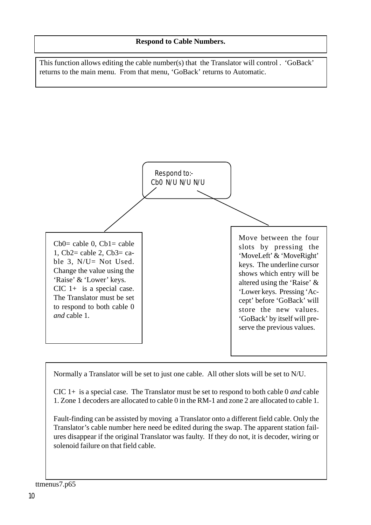This function allows editing the cable number(s) that the Translator will control . 'GoBack' returns to the main menu. From that menu, 'GoBack' returns to Automatic.



Normally a Translator will be set to just one cable. All other slots will be set to N/U.

CIC 1+ is a special case. The Translator must be set to respond to both cable 0 *and* cable 1. Zone 1 decoders are allocated to cable 0 in the RM-1 and zone 2 are allocated to cable 1.

Fault-finding can be assisted by moving a Translator onto a different field cable. Only the Translator's cable number here need be edited during the swap. The apparent station failures disappear if the original Translator was faulty. If they do not, it is decoder, wiring or solenoid failure on that field cable.

#### ttmenus7.p65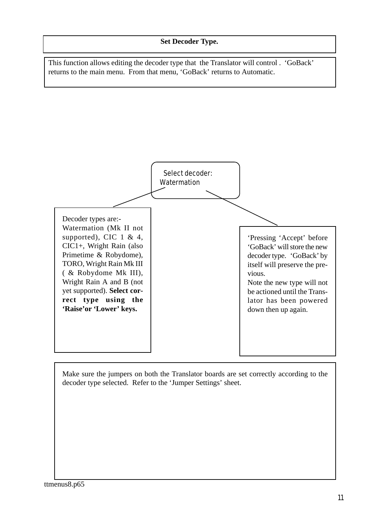This function allows editing the decoder type that the Translator will control . 'GoBack' returns to the main menu. From that menu, 'GoBack' returns to Automatic.



Make sure the jumpers on both the Translator boards are set correctly according to the decoder type selected. Refer to the 'Jumper Settings' sheet.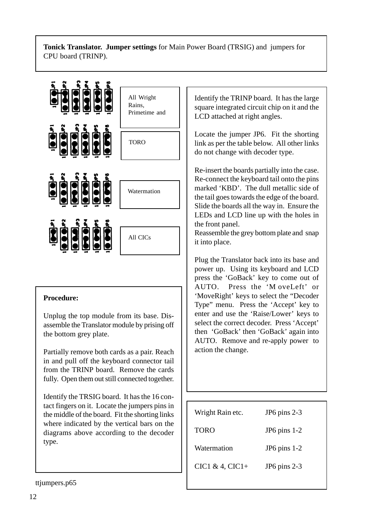#### **Tonick Translator. Jumper settings** for Main Power Board (TRSIG) and jumpers for CPU board (TRINP).



#### **Procedure:**

Unplug the top module from its base. Disassemble the Translator module by prising off the bottom grey plate.

Partially remove both cards as a pair. Reach in and pull off the keyboard connector tail from the TRINP board. Remove the cards fully. Open them out still connected together.

Identify the TRSIG board. It has the 16 contact fingers on it. Locate the jumpers pins in the middle of the board. Fit the shorting links where indicated by the vertical bars on the diagrams above according to the decoder type.

Identify the TRINP board. It has the large square integrated circuit chip on it and the LCD attached at right angles.

Locate the jumper JP6. Fit the shorting link as per the table below. All other links do not change with decoder type.

Re-insert the boards partially into the case. Re-connect the keyboard tail onto the pins marked 'KBD'. The dull metallic side of the tail goes towards the edge of the board. Slide the boards all the way in. Ensure the LEDs and LCD line up with the holes in the front panel.

Reassemble the grey bottom plate and snap it into place.

Plug the Translator back into its base and power up. Using its keyboard and LCD press the 'GoBack' key to come out of AUTO. Press the 'M oveLeft' or 'MoveRight' keys to select the "Decoder Type" menu. Press the 'Accept' key to enter and use the 'Raise/Lower' keys to select the correct decoder. Press 'Accept' then 'GoBack' then 'GoBack' again into AUTO. Remove and re-apply power to action the change.

| $JP6$ pins $2-3$ |
|------------------|
| JP6 pins $1-2$   |
| $JP6$ pins $1-2$ |
| JP6 pins 2-3     |
|                  |

ttjumpers.p65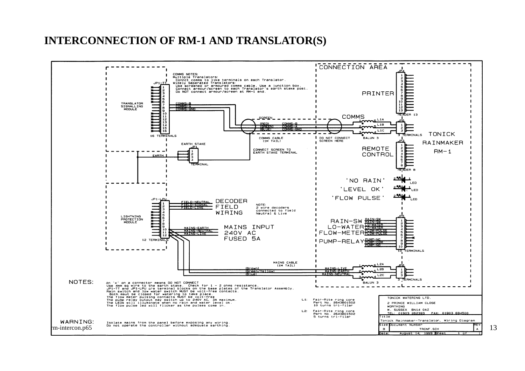# **INTERCONNECTION OF RM-1 AND TRANSLATOR(S)**